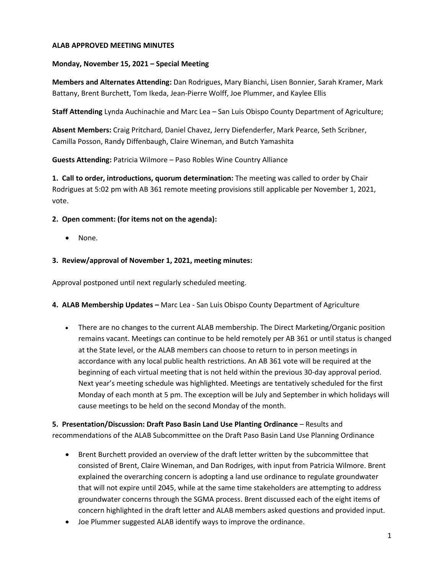## **ALAB APPROVED MEETING MINUTES**

## **Monday, November 15, 2021 – Special Meeting**

**Members and Alternates Attending:** Dan Rodrigues, Mary Bianchi, Lisen Bonnier, Sarah Kramer, Mark Battany, Brent Burchett, Tom Ikeda, Jean-Pierre Wolff, Joe Plummer, and Kaylee Ellis

**Staff Attending** Lynda Auchinachie and Marc Lea – San Luis Obispo County Department of Agriculture;

**Absent Members:** Craig Pritchard, Daniel Chavez, Jerry Diefenderfer, Mark Pearce, Seth Scribner, Camilla Posson, Randy Diffenbaugh, Claire Wineman, and Butch Yamashita

**Guests Attending:** Patricia Wilmore – Paso Robles Wine Country Alliance

**1. Call to order, introductions, quorum determination:** The meeting was called to order by Chair Rodrigues at 5:02 pm with AB 361 remote meeting provisions still applicable per November 1, 2021, vote.

#### **2. Open comment: (for items not on the agenda):**

• None.

## **3. Review/approval of November 1, 2021, meeting minutes:**

Approval postponed until next regularly scheduled meeting.

- **4. ALAB Membership Updates –** Marc Lea San Luis Obispo County Department of Agriculture
	- There are no changes to the current ALAB membership. The Direct Marketing/Organic position remains vacant. Meetings can continue to be held remotely per AB 361 or until status is changed at the State level, or the ALAB members can choose to return to in person meetings in accordance with any local public health restrictions. An AB 361 vote will be required at the beginning of each virtual meeting that is not held within the previous 30-day approval period. Next year's meeting schedule was highlighted. Meetings are tentatively scheduled for the first Monday of each month at 5 pm. The exception will be July and September in which holidays will cause meetings to be held on the second Monday of the month.

**5. Presentation/Discussion: Draft Paso Basin Land Use Planting Ordinance – Results and** recommendations of the ALAB Subcommittee on the Draft Paso Basin Land Use Planning Ordinance

- Brent Burchett provided an overview of the draft letter written by the subcommittee that consisted of Brent, Claire Wineman, and Dan Rodriges, with input from Patricia Wilmore. Brent explained the overarching concern is adopting a land use ordinance to regulate groundwater that will not expire until 2045, while at the same time stakeholders are attempting to address groundwater concerns through the SGMA process. Brent discussed each of the eight items of concern highlighted in the draft letter and ALAB members asked questions and provided input.
- Joe Plummer suggested ALAB identify ways to improve the ordinance.